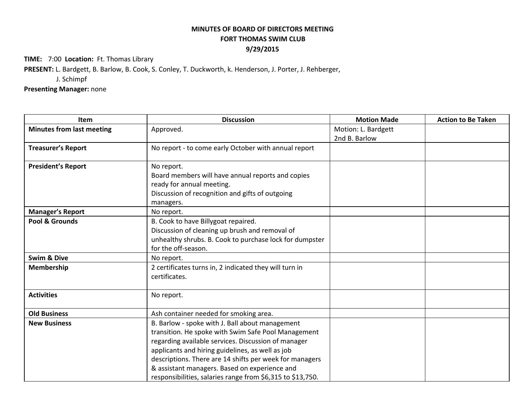## **MINUTES OF BOARD OF DIRECTORS MEETING FORT THOMAS SWIM CLUB 9/29/2015**

**TIME:** 7:00 **Location:** Ft. Thomas Library

**PRESENT:**L. Bardgett, B. Barlow, B. Cook, S. Conley, T. Duckworth, k. Henderson, J. Porter, J. Rehberger,

J. Schimpf

**Presenting Manager:** none

| Item                             | <b>Discussion</b>                                                                                                                                                                                                                                                                                                                                                                           | <b>Motion Made</b>                   | <b>Action to Be Taken</b> |
|----------------------------------|---------------------------------------------------------------------------------------------------------------------------------------------------------------------------------------------------------------------------------------------------------------------------------------------------------------------------------------------------------------------------------------------|--------------------------------------|---------------------------|
| <b>Minutes from last meeting</b> | Approved.                                                                                                                                                                                                                                                                                                                                                                                   | Motion: L. Bardgett<br>2nd B. Barlow |                           |
| <b>Treasurer's Report</b>        | No report - to come early October with annual report                                                                                                                                                                                                                                                                                                                                        |                                      |                           |
| <b>President's Report</b>        | No report.<br>Board members will have annual reports and copies<br>ready for annual meeting.<br>Discussion of recognition and gifts of outgoing<br>managers.                                                                                                                                                                                                                                |                                      |                           |
| <b>Manager's Report</b>          | No report.                                                                                                                                                                                                                                                                                                                                                                                  |                                      |                           |
| Pool & Grounds                   | B. Cook to have Billygoat repaired.<br>Discussion of cleaning up brush and removal of<br>unhealthy shrubs. B. Cook to purchase lock for dumpster<br>for the off-season.                                                                                                                                                                                                                     |                                      |                           |
| <b>Swim &amp; Dive</b>           | No report.                                                                                                                                                                                                                                                                                                                                                                                  |                                      |                           |
| <b>Membership</b>                | 2 certificates turns in, 2 indicated they will turn in<br>certificates.                                                                                                                                                                                                                                                                                                                     |                                      |                           |
| <b>Activities</b>                | No report.                                                                                                                                                                                                                                                                                                                                                                                  |                                      |                           |
| <b>Old Business</b>              | Ash container needed for smoking area.                                                                                                                                                                                                                                                                                                                                                      |                                      |                           |
| <b>New Business</b>              | B. Barlow - spoke with J. Ball about management<br>transition. He spoke with Swim Safe Pool Management<br>regarding available services. Discussion of manager<br>applicants and hiring guidelines, as well as job<br>descriptions. There are 14 shifts per week for managers<br>& assistant managers. Based on experience and<br>responsibilities, salaries range from \$6,315 to \$13,750. |                                      |                           |